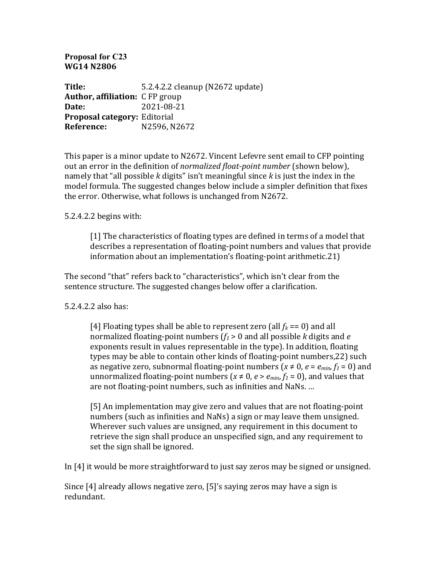## **Proposal for C23 WG14 N2806**

**Title:** 5.2.4.2.2 cleanup (N2672 update) **Author, affiliation:** C FP group **Date:** 2021-08-21 **Proposal category:** Editorial **Reference:** N2596, N2672

This paper is a minor update to N2672. Vincent Lefevre sent email to CFP pointing out an error in the definition of *normalized float-point number* (shown below), namely that "all possible  $k$  digits" isn't meaningful since  $k$  is just the index in the model formula. The suggested changes below include a simpler definition that fixes the error. Otherwise, what follows is unchanged from N2672.

## $5.2.4.2.2$  begins with:

[1] The characteristics of floating types are defined in terms of a model that describes a representation of floating-point numbers and values that provide information about an implementation's floating-point arithmetic.21)

The second "that" refers back to "characteristics", which isn't clear from the sentence structure. The suggested changes below offer a clarification.

## 5.2.4.2.2 also has:

[4] Floating types shall be able to represent zero (all  $f_k = 0$ ) and all normalized floating-point numbers  $(f_1 > 0)$  and all possible *k* digits and *e* exponents result in values representable in the type). In addition, floating types may be able to contain other kinds of floating-point numbers, 22) such as negative zero, subnormal floating-point numbers  $(x \neq 0, e = e_{min}, f_1 = 0)$  and unnormalized floating-point numbers ( $x \neq 0$ ,  $e > e_{min}$ ,  $f_1 = 0$ ), and values that are not floating-point numbers, such as infinities and NaNs. ...

[5] An implementation may give zero and values that are not floating-point numbers (such as infinities and NaNs) a sign or may leave them unsigned. Wherever such values are unsigned, any requirement in this document to retrieve the sign shall produce an unspecified sign, and any requirement to set the sign shall be ignored.

In  $[4]$  it would be more straightforward to just say zeros may be signed or unsigned.

Since  $[4]$  already allows negative zero,  $[5]'$ s saying zeros may have a sign is redundant.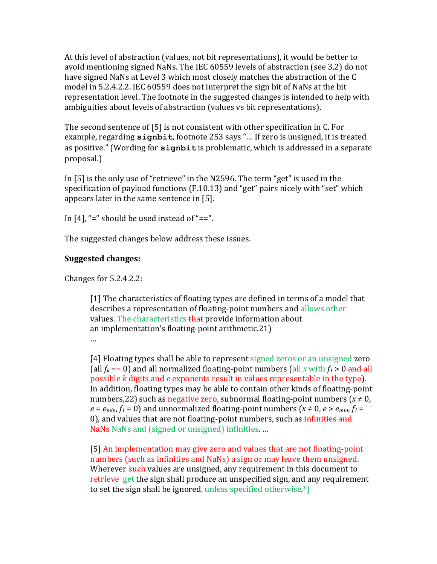At this level of abstraction (values, not bit representations), it would be better to avoid mentioning signed NaNs. The IEC 60559 levels of abstraction (see 3.2) do not have signed NaNs at Level 3 which most closely matches the abstraction of the C model in 5.2.4.2.2. IEC 60559 does not interpret the sign bit of NaNs at the bit representation level. The footnote in the suggested changes is intended to help with ambiguities about levels of abstraction (values vs bit representations).

The second sentence of  $[5]$  is not consistent with other specification in C. For example, regarding signbit, footnote 253 says "... If zero is unsigned, it is treated as positive." (Wording for signbit is problematic, which is addressed in a separate proposal.)

In [5] is the only use of "retrieve" in the N2596. The term "get" is used in the specification of payload functions (F.10.13) and "get" pairs nicely with "set" which appears later in the same sentence in [5].

In  $[4]$ , "=" should be used instead of "==".

The suggested changes below address these issues.

## **Suggested changes:**

Changes for  $5.2.4.2.2$ :

[1] The characteristics of floating types are defined in terms of a model that describes a representation of floating-point numbers and allows other values. The characteristics that provide information about an implementation's floating-point arithmetic.  $21$ ) …

[4] Floating types shall be able to represent signed zeros or an unsigned zero (all  $f_k == 0$ ) and all normalized floating-point numbers (all *x* with  $f_1 > 0$  and all possible *k* digits and *e* exponents result in values representable in the type). In addition, floating types may be able to contain other kinds of floating-point numbers, 22) such as negative zero, subnormal floating-point numbers ( $x \ne 0$ ,  $e = e_{min}$ ,  $f_1 = 0$ ) and unnormalized floating-point numbers ( $x \ne 0$ ,  $e > e_{min}$ ,  $f_1 = 0$ 0), and values that are not floating-point numbers, such as infinities and NaNs NaNs and (signed or unsigned) infinities. ...

[5] An implementation may give zero and values that are not floating-point numbers (such as infinities and NaNs) a sign or may leave them unsigned. Wherever such values are unsigned, any requirement in this document to retrieve get the sign shall produce an unspecified sign, and any requirement to set the sign shall be ignored, unless specified otherwise. $*)$